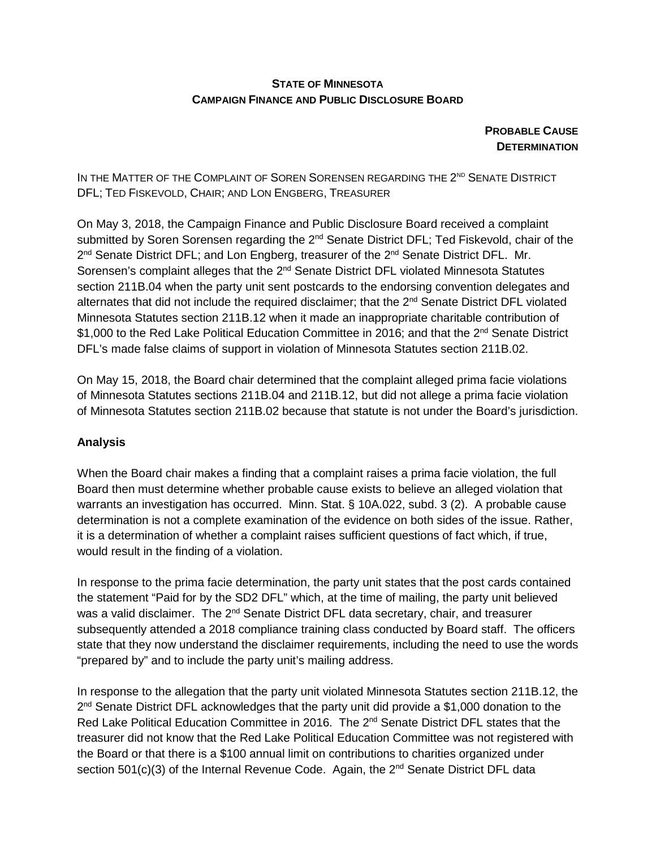## **STATE OF MINNESOTA CAMPAIGN FINANCE AND PUBLIC DISCLOSURE BOARD**

**PROBABLE CAUSE DETERMINATION** 

IN THE MATTER OF THE COMPLAINT OF SOREN SORENSEN REGARDING THE 2<sup>ND</sup> SENATE DISTRICT DFL; TED FISKEVOLD, CHAIR; AND LON ENGBERG, TREASURER

On May 3, 2018, the Campaign Finance and Public Disclosure Board received a complaint submitted by Soren Sorensen regarding the 2<sup>nd</sup> Senate District DFL; Ted Fiskevold, chair of the 2<sup>nd</sup> Senate District DFL; and Lon Engberg, treasurer of the 2<sup>nd</sup> Senate District DFL. Mr. Sorensen's complaint alleges that the 2<sup>nd</sup> Senate District DFL violated Minnesota Statutes section 211B.04 when the party unit sent postcards to the endorsing convention delegates and alternates that did not include the required disclaimer; that the  $2<sup>nd</sup>$  Senate District DFL violated Minnesota Statutes section 211B.12 when it made an inappropriate charitable contribution of \$1,000 to the Red Lake Political Education Committee in 2016; and that the 2<sup>nd</sup> Senate District DFL's made false claims of support in violation of Minnesota Statutes section 211B.02.

On May 15, 2018, the Board chair determined that the complaint alleged prima facie violations of Minnesota Statutes sections 211B.04 and 211B.12, but did not allege a prima facie violation of Minnesota Statutes section 211B.02 because that statute is not under the Board's jurisdiction.

## **Analysis**

When the Board chair makes a finding that a complaint raises a prima facie violation, the full Board then must determine whether probable cause exists to believe an alleged violation that warrants an investigation has occurred. Minn. Stat. § 10A.022, subd. 3 (2). A probable cause determination is not a complete examination of the evidence on both sides of the issue. Rather, it is a determination of whether a complaint raises sufficient questions of fact which, if true, would result in the finding of a violation.

In response to the prima facie determination, the party unit states that the post cards contained the statement "Paid for by the SD2 DFL" which, at the time of mailing, the party unit believed was a valid disclaimer. The 2<sup>nd</sup> Senate District DFL data secretary, chair, and treasurer subsequently attended a 2018 compliance training class conducted by Board staff. The officers state that they now understand the disclaimer requirements, including the need to use the words "prepared by" and to include the party unit's mailing address.

In response to the allegation that the party unit violated Minnesota Statutes section 211B.12, the  $2<sup>nd</sup>$  Senate District DFL acknowledges that the party unit did provide a \$1,000 donation to the Red Lake Political Education Committee in 2016. The 2<sup>nd</sup> Senate District DFL states that the treasurer did not know that the Red Lake Political Education Committee was not registered with the Board or that there is a \$100 annual limit on contributions to charities organized under section 501(c)(3) of the Internal Revenue Code. Again, the 2<sup>nd</sup> Senate District DFL data